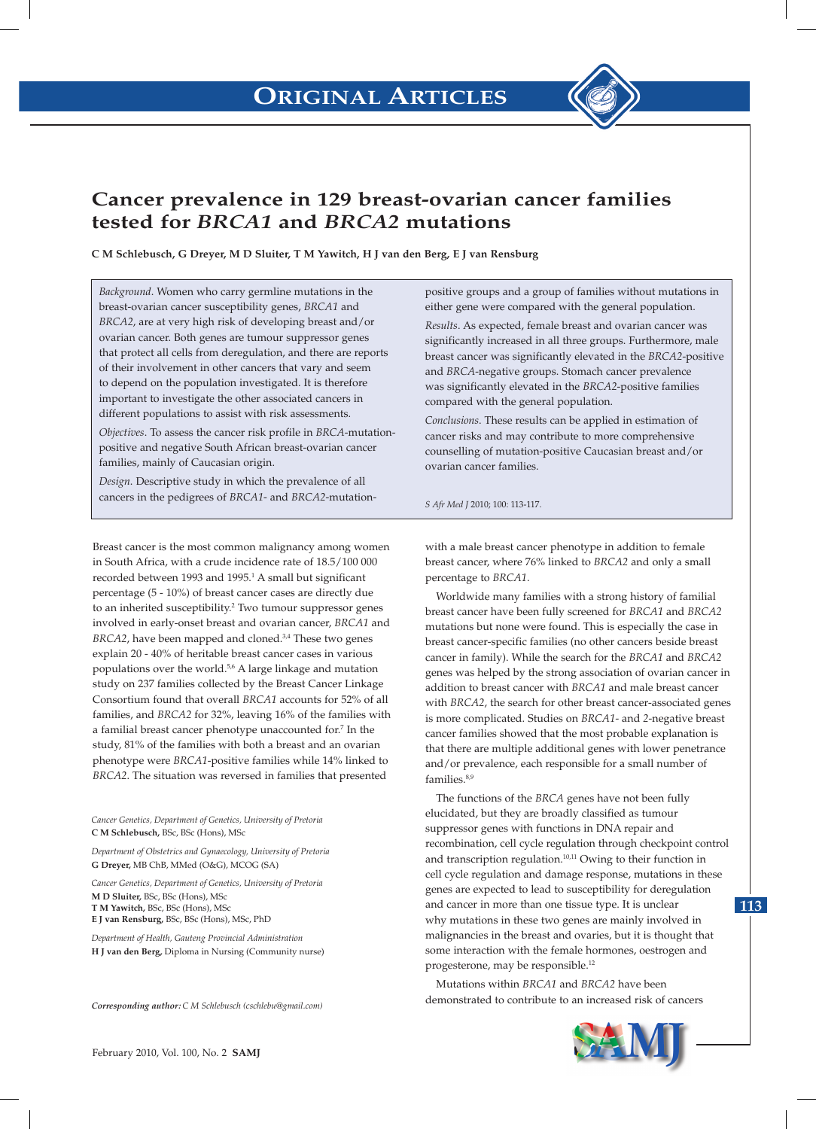

# **Cancer prevalence in 129 breast-ovarian cancer families tested for** *BRCA1* **and** *BRCA2* **mutations**

**C M Schlebusch, G Dreyer, M D Sluiter, T M Yawitch, H J van den Berg, E J van Rensburg** 

*Background*. Women who carry germline mutations in the breast-ovarian cancer susceptibility genes, *BRCA1* and *BRCA2*, are at very high risk of developing breast and/or ovarian cancer. Both genes are tumour suppressor genes that protect all cells from deregulation, and there are reports of their involvement in other cancers that vary and seem to depend on the population investigated. It is therefore important to investigate the other associated cancers in different populations to assist with risk assessments.

*Objectives*. To assess the cancer risk profile in *BRCA*-mutationpositive and negative South African breast-ovarian cancer families, mainly of Caucasian origin.

*Design*. Descriptive study in which the prevalence of all cancers in the pedigrees of *BRCA1*- and *BRCA2*-mutation-

Breast cancer is the most common malignancy among women in South Africa, with a crude incidence rate of 18.5/100 000 recorded between 1993 and 1995.<sup>1</sup> A small but significant percentage (5 - 10%) of breast cancer cases are directly due to an inherited susceptibility.<sup>2</sup> Two tumour suppressor genes involved in early-onset breast and ovarian cancer, *BRCA1* and *BRCA2*, have been mapped and cloned.3,4 These two genes explain 20 - 40% of heritable breast cancer cases in various populations over the world.<sup>5,6</sup> A large linkage and mutation study on 237 families collected by the Breast Cancer Linkage Consortium found that overall *BRCA1* accounts for 52% of all families, and *BRCA2* for 32%, leaving 16% of the families with a familial breast cancer phenotype unaccounted for.7 In the study, 81% of the families with both a breast and an ovarian phenotype were *BRCA1*-positive families while 14% linked to *BRCA2*. The situation was reversed in families that presented

*Cancer Genetics, Department of Genetics, University of Pretoria* **C M Schlebusch,** BSc, BSc (Hons), MSc

*Department of Obstetrics and Gynaecology, University of Pretoria* **G Dreyer,** MB ChB, MMed (O&G), MCOG (SA)

*Cancer Genetics, Department of Genetics, University of Pretoria* **M D Sluiter,** BSc, BSc (Hons), MSc **T M Yawitch,** BSc, BSc (Hons), MSc **E J van Rensburg,** BSc, BSc (Hons), MSc, PhD

*Department of Health, Gauteng Provincial Administration* **H J van den Berg,** Diploma in Nursing (Community nurse)

*Corresponding author: C M Schlebusch (cschlebu@gmail.com)*

positive groups and a group of families without mutations in either gene were compared with the general population.

*Results*. As expected, female breast and ovarian cancer was significantly increased in all three groups. Furthermore, male breast cancer was significantly elevated in the *BRCA2*-positive and *BRCA*-negative groups. Stomach cancer prevalence was significantly elevated in the *BRCA2*-positive families compared with the general population.

*Conclusions*. These results can be applied in estimation of cancer risks and may contribute to more comprehensive counselling of mutation-positive Caucasian breast and/or ovarian cancer families.

*S Afr Med J* 2010; 100: 113-117.

with a male breast cancer phenotype in addition to female breast cancer, where 76% linked to *BRCA2* and only a small percentage to *BRCA1*.

Worldwide many families with a strong history of familial breast cancer have been fully screened for *BRCA1* and *BRCA2* mutations but none were found. This is especially the case in breast cancer-specific families (no other cancers beside breast cancer in family). While the search for the *BRCA1* and *BRCA2* genes was helped by the strong association of ovarian cancer in addition to breast cancer with *BRCA1* and male breast cancer with *BRCA2*, the search for other breast cancer-associated genes is more complicated. Studies on *BRCA1*- and *2*-negative breast cancer families showed that the most probable explanation is that there are multiple additional genes with lower penetrance and/or prevalence, each responsible for a small number of families.<sup>8,9</sup>

The functions of the *BRCA* genes have not been fully elucidated, but they are broadly classified as tumour suppressor genes with functions in DNA repair and recombination, cell cycle regulation through checkpoint control and transcription regulation.10,11 Owing to their function in cell cycle regulation and damage response, mutations in these genes are expected to lead to susceptibility for deregulation and cancer in more than one tissue type. It is unclear why mutations in these two genes are mainly involved in malignancies in the breast and ovaries, but it is thought that some interaction with the female hormones, oestrogen and progesterone, may be responsible.12

Mutations within *BRCA1* and *BRCA2* have been demonstrated to contribute to an increased risk of cancers

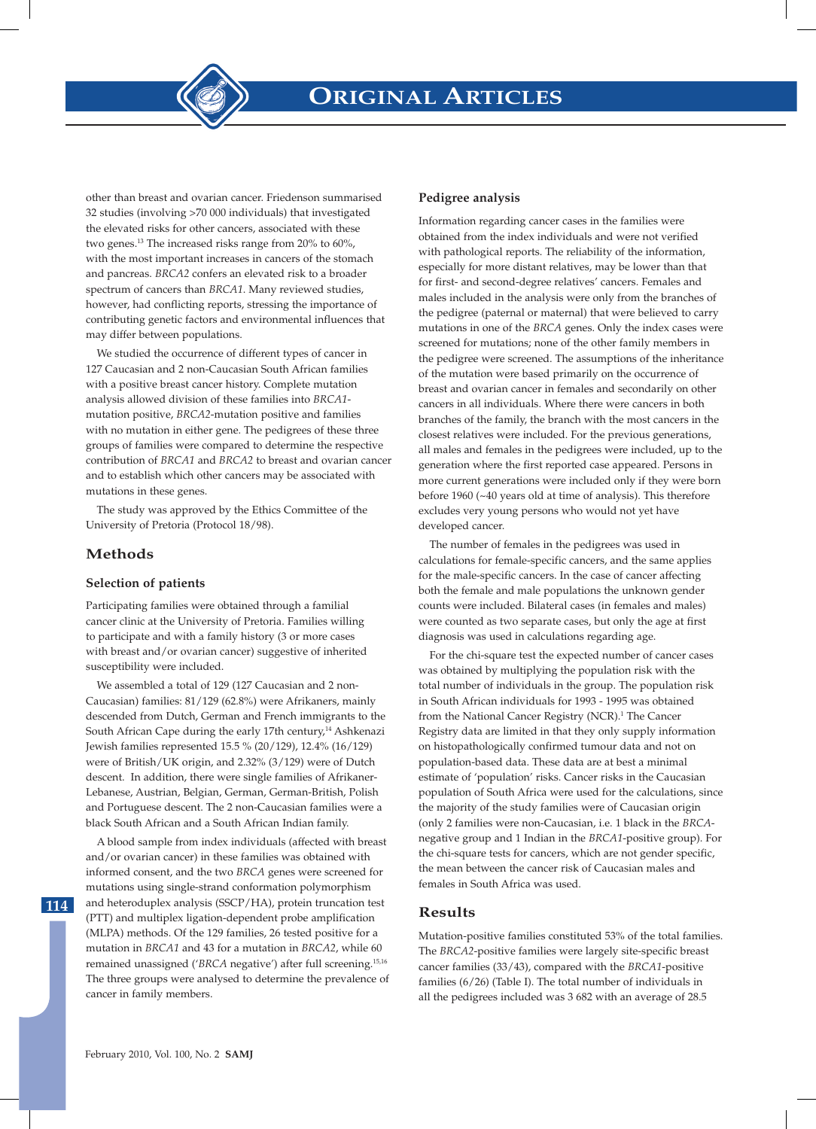other than breast and ovarian cancer. Friedenson summarised 32 studies (involving >70 000 individuals) that investigated the elevated risks for other cancers, associated with these two genes.13 The increased risks range from 20% to 60%, with the most important increases in cancers of the stomach and pancreas. *BRCA2* confers an elevated risk to a broader spectrum of cancers than *BRCA1*. Many reviewed studies, however, had conflicting reports, stressing the importance of contributing genetic factors and environmental influences that may differ between populations.

We studied the occurrence of different types of cancer in 127 Caucasian and 2 non-Caucasian South African families with a positive breast cancer history. Complete mutation analysis allowed division of these families into *BRCA1* mutation positive, *BRCA2*-mutation positive and families with no mutation in either gene. The pedigrees of these three groups of families were compared to determine the respective contribution of *BRCA1* and *BRCA2* to breast and ovarian cancer and to establish which other cancers may be associated with mutations in these genes.

The study was approved by the Ethics Committee of the University of Pretoria (Protocol 18/98).

## **Methods**

#### **Selection of patients**

Participating families were obtained through a familial cancer clinic at the University of Pretoria. Families willing to participate and with a family history (3 or more cases with breast and/or ovarian cancer) suggestive of inherited susceptibility were included.

We assembled a total of 129 (127 Caucasian and 2 non-Caucasian) families: 81/129 (62.8%) were Afrikaners, mainly descended from Dutch, German and French immigrants to the South African Cape during the early 17th century,<sup>14</sup> Ashkenazi Jewish families represented 15.5 % (20/129), 12.4% (16/129) were of British/UK origin, and 2.32% (3/129) were of Dutch descent. In addition, there were single families of Afrikaner-Lebanese, Austrian, Belgian, German, German-British, Polish and Portuguese descent. The 2 non-Caucasian families were a black South African and a South African Indian family.

A blood sample from index individuals (affected with breast and/or ovarian cancer) in these families was obtained with informed consent, and the two *BRCA* genes were screened for mutations using single-strand conformation polymorphism and heteroduplex analysis (SSCP/HA), protein truncation test (PTT) and multiplex ligation-dependent probe amplification (MLPA) methods. Of the 129 families, 26 tested positive for a mutation in *BRCA1* and 43 for a mutation in *BRCA2*, while 60 remained unassigned ('*BRCA* negative') after full screening.15,16 The three groups were analysed to determine the prevalence of cancer in family members.

#### **Pedigree analysis**

Information regarding cancer cases in the families were obtained from the index individuals and were not verified with pathological reports. The reliability of the information, especially for more distant relatives, may be lower than that for first- and second-degree relatives' cancers. Females and males included in the analysis were only from the branches of the pedigree (paternal or maternal) that were believed to carry mutations in one of the *BRCA* genes. Only the index cases were screened for mutations; none of the other family members in the pedigree were screened. The assumptions of the inheritance of the mutation were based primarily on the occurrence of breast and ovarian cancer in females and secondarily on other cancers in all individuals. Where there were cancers in both branches of the family, the branch with the most cancers in the closest relatives were included. For the previous generations, all males and females in the pedigrees were included, up to the generation where the first reported case appeared. Persons in more current generations were included only if they were born before 1960 (~40 years old at time of analysis). This therefore excludes very young persons who would not yet have developed cancer.

The number of females in the pedigrees was used in calculations for female-specific cancers, and the same applies for the male-specific cancers. In the case of cancer affecting both the female and male populations the unknown gender counts were included. Bilateral cases (in females and males) were counted as two separate cases, but only the age at first diagnosis was used in calculations regarding age.

For the chi-square test the expected number of cancer cases was obtained by multiplying the population risk with the total number of individuals in the group. The population risk in South African individuals for 1993 - 1995 was obtained from the National Cancer Registry (NCR).<sup>1</sup> The Cancer Registry data are limited in that they only supply information on histopathologically confirmed tumour data and not on population-based data. These data are at best a minimal estimate of 'population' risks. Cancer risks in the Caucasian population of South Africa were used for the calculations, since the majority of the study families were of Caucasian origin (only 2 families were non-Caucasian, i.e. 1 black in the *BRCA*negative group and 1 Indian in the *BRCA1*-positive group). For the chi-square tests for cancers, which are not gender specific, the mean between the cancer risk of Caucasian males and females in South Africa was used.

### **Results**

Mutation-positive families constituted 53% of the total families. The *BRCA2*-positive families were largely site-specific breast cancer families (33/43), compared with the *BRCA1*-positive families (6/26) (Table I). The total number of individuals in all the pedigrees included was 3 682 with an average of 28.5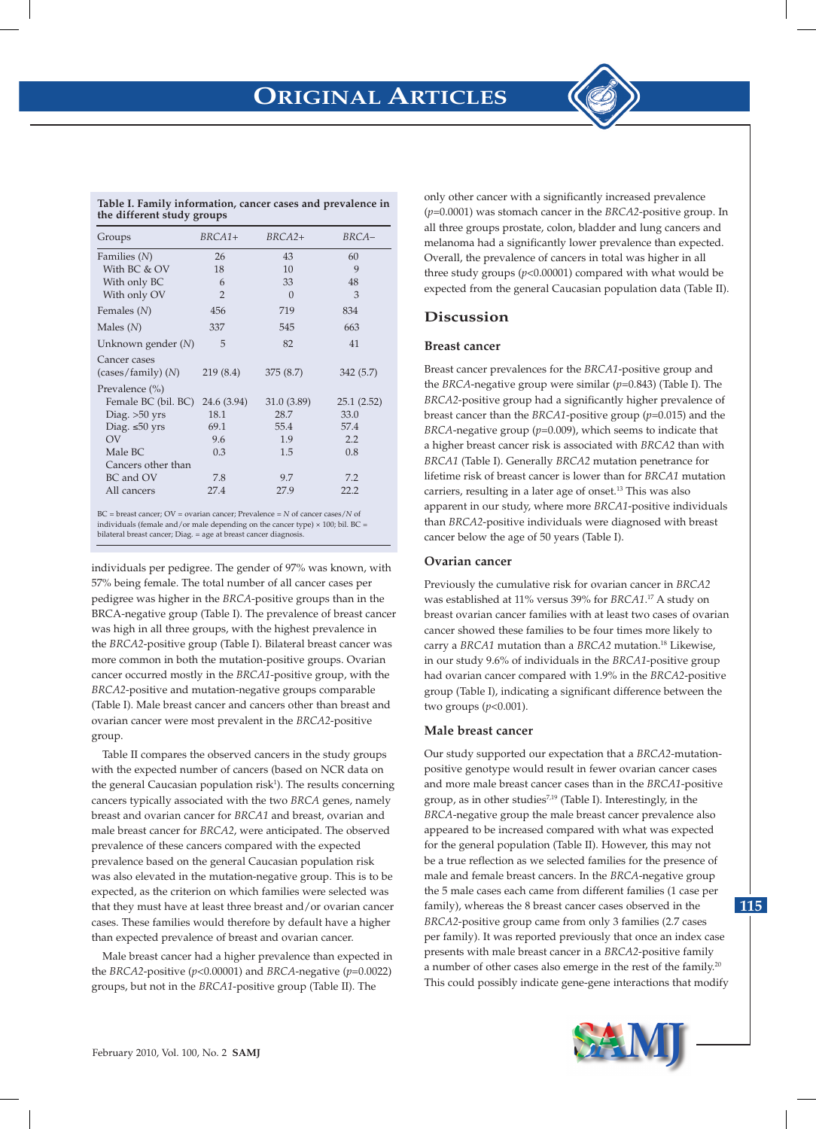

| Groups               | $BRCA1+$       | $BRCA2+$    | BRCA-      |  |
|----------------------|----------------|-------------|------------|--|
| Families $(N)$       | 26             | 43          | 60         |  |
| With BC & OV         | 18             | 10          | 9          |  |
| With only BC         | 6              | 33          | 48         |  |
| With only OV         | $\overline{2}$ | $\Omega$    | 3          |  |
| Females $(N)$        | 456            | 719         | 834        |  |
| Males $(N)$          | 337            | 545         | 663        |  |
| Unknown gender $(N)$ | 5              | 82          | 41         |  |
| Cancer cases         |                |             |            |  |
| (cases/family) (N)   | 219(8.4)       | 375(8.7)    | 342(5.7)   |  |
| Prevalence $(\% )$   |                |             |            |  |
| Female BC (bil. BC)  | 24.6 (3.94)    | 31.0 (3.89) | 25.1(2.52) |  |
| Diag. $>50$ yrs      | 18.1           | 28.7        | 33.0       |  |
| Diag. $\leq 50$ yrs  | 69.1           | 55.4        | 57.4       |  |
| $\overline{\rm OV}$  | 9.6            | 1.9         | 2.2        |  |
| Male BC              | 0.3            | 1.5         | 0.8        |  |
| Cancers other than   |                |             |            |  |
| BC and OV            | 7.8            | 9.7         | 7.2        |  |
| All cancers          | 27.4           | 27.9        | 22.2       |  |

BC = breast cancer; OV = ovarian cancer; Prevalence = *N* of cancer cases/*N* of individuals (female and/or male depending on the cancer type)  $\times$  100; bil. BC = bilateral breast cancer; Diag. = age at breast cancer diagnosi

individuals per pedigree. The gender of 97% was known, with 57% being female. The total number of all cancer cases per pedigree was higher in the *BRCA*-positive groups than in the BRCA-negative group (Table I). The prevalence of breast cancer was high in all three groups, with the highest prevalence in the *BRCA2*-positive group (Table I). Bilateral breast cancer was more common in both the mutation-positive groups. Ovarian cancer occurred mostly in the *BRCA1*-positive group, with the *BRCA2*-positive and mutation-negative groups comparable (Table I). Male breast cancer and cancers other than breast and ovarian cancer were most prevalent in the *BRCA2*-positive group.

Table II compares the observed cancers in the study groups with the expected number of cancers (based on NCR data on the general Caucasian population risk<sup>1</sup>). The results concerning cancers typically associated with the two *BRCA* genes, namely breast and ovarian cancer for *BRCA1* and breast, ovarian and male breast cancer for *BRCA2*, were anticipated. The observed prevalence of these cancers compared with the expected prevalence based on the general Caucasian population risk was also elevated in the mutation-negative group. This is to be expected, as the criterion on which families were selected was that they must have at least three breast and/or ovarian cancer cases. These families would therefore by default have a higher than expected prevalence of breast and ovarian cancer.

Male breast cancer had a higher prevalence than expected in the *BRCA2*-positive (*p*<0.00001) and *BRCA*-negative (*p*=0.0022) groups, but not in the *BRCA1*-positive group (Table II). The

only other cancer with a significantly increased prevalence (*p*=0.0001) was stomach cancer in the *BRCA2*-positive group. In all three groups prostate, colon, bladder and lung cancers and melanoma had a significantly lower prevalence than expected. Overall, the prevalence of cancers in total was higher in all three study groups (*p*<0.00001) compared with what would be expected from the general Caucasian population data (Table II).

## **Discussion**

### **Breast cancer**

Breast cancer prevalences for the *BRCA1*-positive group and the *BRCA*-negative group were similar (*p*=0.843) (Table I). The *BRCA2*-positive group had a significantly higher prevalence of breast cancer than the *BRCA1*-positive group (*p*=0.015) and the *BRCA*-negative group (*p*=0.009), which seems to indicate that a higher breast cancer risk is associated with *BRCA2* than with *BRCA1* (Table I). Generally *BRCA2* mutation penetrance for lifetime risk of breast cancer is lower than for *BRCA1* mutation carriers, resulting in a later age of onset.<sup>13</sup> This was also apparent in our study, where more *BRCA1*-positive individuals than *BRCA2*-positive individuals were diagnosed with breast cancer below the age of 50 years (Table I).

## **Ovarian cancer**

Previously the cumulative risk for ovarian cancer in *BRCA2* was established at 11% versus 39% for *BRCA1*. 17 A study on breast ovarian cancer families with at least two cases of ovarian cancer showed these families to be four times more likely to carry a *BRCA1* mutation than a *BRCA2* mutation.18 Likewise, in our study 9.6% of individuals in the *BRCA1*-positive group had ovarian cancer compared with 1.9% in the *BRCA2*-positive group (Table I), indicating a significant difference between the two groups (*p*<0.001).

## **Male breast cancer**

Our study supported our expectation that a *BRCA2*-mutationpositive genotype would result in fewer ovarian cancer cases and more male breast cancer cases than in the *BRCA1*-positive group, as in other studies<sup>7,19</sup> (Table I). Interestingly, in the *BRCA*-negative group the male breast cancer prevalence also appeared to be increased compared with what was expected for the general population (Table II). However, this may not be a true reflection as we selected families for the presence of male and female breast cancers. In the *BRCA*-negative group the 5 male cases each came from different families (1 case per family), whereas the 8 breast cancer cases observed in the *BRCA2*-positive group came from only 3 families (2.7 cases per family). It was reported previously that once an index case presents with male breast cancer in a *BRCA2*-positive family a number of other cases also emerge in the rest of the family.20 This could possibly indicate gene-gene interactions that modify

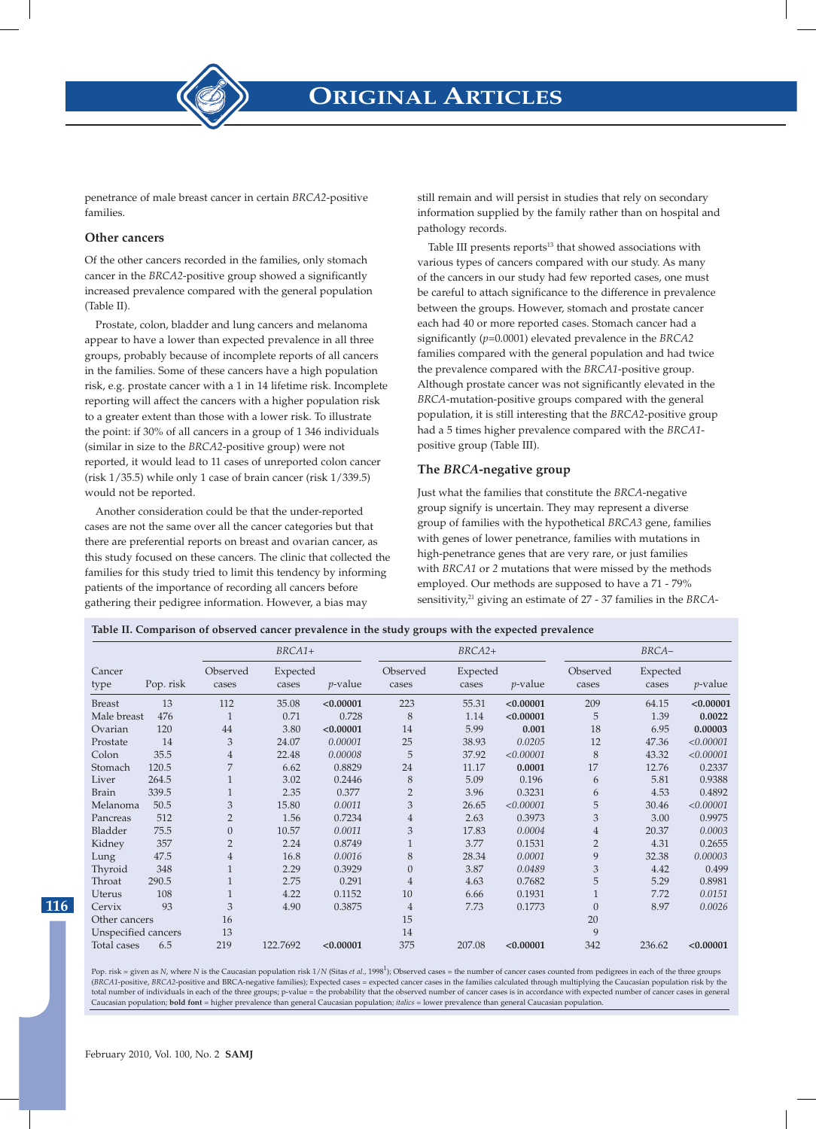

penetrance of male breast cancer in certain *BRCA2*-positive families.

#### **Other cancers**

Of the other cancers recorded in the families, only stomach cancer in the *BRCA2*-positive group showed a significantly increased prevalence compared with the general population (Table II).

Prostate, colon, bladder and lung cancers and melanoma appear to have a lower than expected prevalence in all three groups, probably because of incomplete reports of all cancers in the families. Some of these cancers have a high population risk, e.g. prostate cancer with a 1 in 14 lifetime risk. Incomplete reporting will affect the cancers with a higher population risk to a greater extent than those with a lower risk. To illustrate the point: if 30% of all cancers in a group of 1 346 individuals (similar in size to the *BRCA2*-positive group) were not reported, it would lead to 11 cases of unreported colon cancer (risk 1/35.5) while only 1 case of brain cancer (risk 1/339.5) would not be reported.

Another consideration could be that the under-reported cases are not the same over all the cancer categories but that there are preferential reports on breast and ovarian cancer, as this study focused on these cancers. The clinic that collected the families for this study tried to limit this tendency by informing patients of the importance of recording all cancers before gathering their pedigree information. However, a bias may

still remain and will persist in studies that rely on secondary information supplied by the family rather than on hospital and pathology records.

Table III presents reports $13$  that showed associations with various types of cancers compared with our study. As many of the cancers in our study had few reported cases, one must be careful to attach significance to the difference in prevalence between the groups. However, stomach and prostate cancer each had 40 or more reported cases. Stomach cancer had a significantly (*p*=0.0001) elevated prevalence in the *BRCA2* families compared with the general population and had twice the prevalence compared with the *BRCA1*-positive group. Although prostate cancer was not significantly elevated in the *BRCA*-mutation-positive groups compared with the general population, it is still interesting that the *BRCA2*-positive group had a 5 times higher prevalence compared with the *BRCA1* positive group (Table III).

### **The** *BRCA***-negative group**

Just what the families that constitute the *BRCA*-negative group signify is uncertain. They may represent a diverse group of families with the hypothetical *BRCA3* gene, families with genes of lower penetrance, families with mutations in high-penetrance genes that are very rare, or just families with *BRCA1* or *2* mutations that were missed by the methods employed. Our methods are supposed to have a 71 - 79% sensitivity,<sup>21</sup> giving an estimate of 27 - 37 families in the *BRCA*-

| Table II. Comparison of observed cancer prevalence in the study groups with the expected prevalence |  |  |  |  |
|-----------------------------------------------------------------------------------------------------|--|--|--|--|
|                                                                                                     |  |  |  |  |
|                                                                                                     |  |  |  |  |

|                             |       |                                                      | BRCA1+   |                   | $BRCA2+$                        |        |                   | BRCA-             |            |           |
|-----------------------------|-------|------------------------------------------------------|----------|-------------------|---------------------------------|--------|-------------------|-------------------|------------|-----------|
| Cancer<br>Pop. risk<br>type |       | Observed<br>Expected<br>$p$ -value<br>cases<br>cases |          | Observed<br>cases | Expected<br>$p$ -value<br>cases |        | Observed<br>cases | Expected<br>cases | $p$ -value |           |
| <b>Breast</b>               | 13    | 112                                                  | 35.08    | < 0.00001         | 223                             | 55.31  | < 0.00001         | 209               | 64.15      | < 0.00001 |
| Male breast                 | 476   | $\mathbf{1}$                                         | 0.71     | 0.728             | 8                               | 1.14   | < 0.00001         | 5                 | 1.39       | 0.0022    |
| Ovarian                     | 120   | 44                                                   | 3.80     | < 0.00001         | 14                              | 5.99   | 0.001             | 18                | 6.95       | 0.00003   |
| Prostate                    | 14    | 3                                                    | 24.07    | 0.00001           | 25                              | 38.93  | 0.0205            | 12                | 47.36      | < 0.00001 |
| Colon                       | 35.5  | 4                                                    | 22.48    | 0.00008           | 5                               | 37.92  | < 0.00001         | 8                 | 43.32      | < 0.00001 |
| Stomach                     | 120.5 | 7                                                    | 6.62     | 0.8829            | 24                              | 11.17  | 0.0001            | 17                | 12.76      | 0.2337    |
| Liver                       | 264.5 |                                                      | 3.02     | 0.2446            | 8                               | 5.09   | 0.196             | 6                 | 5.81       | 0.9388    |
| <b>Brain</b>                | 339.5 |                                                      | 2.35     | 0.377             | $\overline{2}$                  | 3.96   | 0.3231            | 6                 | 4.53       | 0.4892    |
| Melanoma                    | 50.5  | 3                                                    | 15.80    | 0.0011            | 3                               | 26.65  | <0.00001          | 5                 | 30.46      | < 0.00001 |
| Pancreas                    | 512   | $\overline{2}$                                       | 1.56     | 0.7234            | $\overline{4}$                  | 2.63   | 0.3973            | 3                 | 3.00       | 0.9975    |
| Bladder                     | 75.5  | $\theta$                                             | 10.57    | 0.0011            | 3                               | 17.83  | 0.0004            | $\overline{4}$    | 20.37      | 0.0003    |
| Kidney                      | 357   | $\overline{2}$                                       | 2.24     | 0.8749            |                                 | 3.77   | 0.1531            | $\overline{2}$    | 4.31       | 0.2655    |
| Lung                        | 47.5  | $\overline{4}$                                       | 16.8     | 0.0016            | 8                               | 28.34  | 0.0001            | 9                 | 32.38      | 0.00003   |
| Thyroid                     | 348   | $\mathbf{1}$                                         | 2.29     | 0.3929            | $\overline{0}$                  | 3.87   | 0.0489            | 3                 | 4.42       | 0.499     |
| Throat                      | 290.5 | $\mathbf{1}$                                         | 2.75     | 0.291             | $\overline{4}$                  | 4.63   | 0.7682            | 5                 | 5.29       | 0.8981    |
| Uterus                      | 108   | $\mathbf{1}$                                         | 4.22     | 0.1152            | 10                              | 6.66   | 0.1931            | $\mathbf{1}$      | 7.72       | 0.0151    |
| Cervix                      | 93    | 3                                                    | 4.90     | 0.3875            | $\overline{4}$                  | 7.73   | 0.1773            | $\overline{0}$    | 8.97       | 0.0026    |
| Other cancers               |       | 16                                                   |          |                   | 15                              |        |                   | 20                |            |           |
| Unspecified cancers         |       | 13                                                   |          |                   | 14                              |        |                   | 9                 |            |           |
| Total cases                 | 6.5   | 219                                                  | 122.7692 | < 0.00001         | 375                             | 207.08 | < 0.00001         | 342               | 236.62     | < 0.00001 |

Pop. risk = given as *N*, where *N* is the Caucasian population risk 1/*N* (Sitas *et al.*, 1998<sup>1</sup>); Observed cases = the number of cancer cases counted from pedigrees in each of the three groups (*BRCA1*-positive, *BRCA2*-positive and BRCA-negative families); Expected cases = expected cancer cases in the families calculated through multiplying the Caucasian population risk by the total number of individuals in each of the three groups; p-value = the probability that the observed number of cancer cases is in accordance with expected number of cancer cases in general Caucasian population; **bold font** = higher prevalence than general Caucasian population; *italics* = lower prevalence than general Caucasian population.